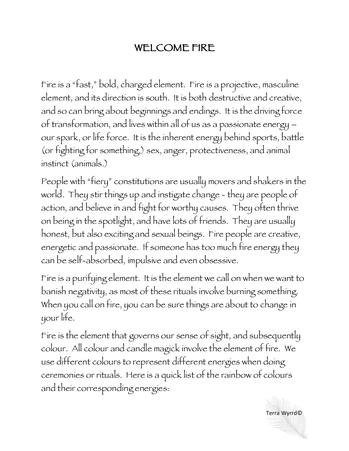## WELCOME FIRE

Fire is a "fast," bold, charged element. Fire is a projective, masculine element, and its direction is south. It is both destructive and creative, and so can bring about beginnings and endings. It is the driving force of transformation, and lives within all of us as a passionate energy – our spark, or life force. It is the inherent energy behind sports, battle (or fighting for something,) sex, anger, protectiveness, and animal instinct (animals.)

People with "fiery" constitutions are usually movers and shakers in the world. They stir things up and instigate change - they are people of action, and believe in and fight for worthy causes. They often thrive on being in the spotlight, and have lots of friends. They are usually honest, but also exciting and sexual beings. Fire people are creative, energetic and passionate. If someone has too much fire energy they can be self-absorbed, impulsive and even obsessive.

Fire is a purifying element. It is the element we call on when we want to banish negativity, as most of these rituals involve burning something. When you call on fire, you can be sure things are about to change in your life.

Fire is the element that governs our sense of sight, and subsequently colour. All colour and candle magick involve the element of fire. We use different colours to represent different energies when doing ceremonies or rituals. Here is a quick list of the rainbow of colours and their corresponding energies:

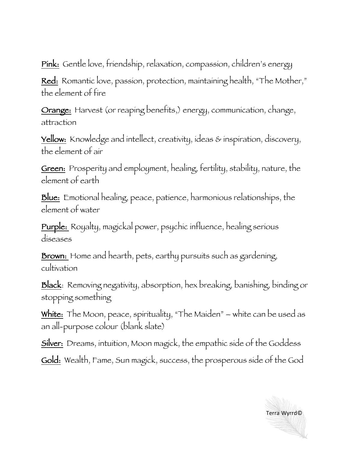Pink: Gentle love, friendship, relaxation, compassion, children's energy

Red: Romantic love, passion, protection, maintaining health, "The Mother," the element of fire

Orange: Harvest (or reaping benefits,) energy, communication, change, attraction

Yellow: Knowledge and intellect, creativity, ideas & inspiration, discovery, the element of air

Green: Prosperity and employment, healing, fertility, stability, nature, the element of earth

Blue: Emotional healing, peace, patience, harmonious relationships, the element of water

Purple: Royalty, magickal power, psychic influence, healing serious diseases

**Brown:** Home and hearth, pets, earthy pursuits such as gardening, cultivation

Black: Removing negativity, absorption, hex breaking, banishing, binding or stopping something

White: The Moon, peace, spirituality, "The Maiden" – white can be used as an all-purpose colour (blank slate)

Silver: Dreams, intuition, Moon magick, the empathic side of the Goddess

Gold: Wealth, Fame, Sun magick, success, the prosperous side of the God